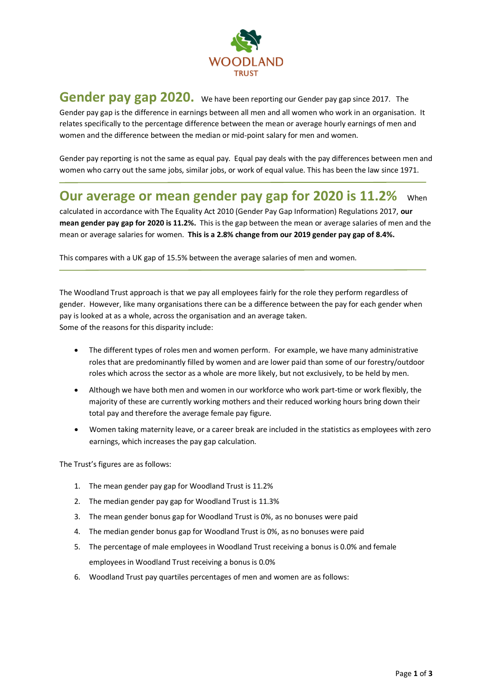

## **Gender pay gap 2020.** We have been reporting our Gender pay gap since 2017. The Gender pay gap is the difference in earnings between all men and all women who work in an organisation. It relates specifically to the percentage difference between the mean or average hourly earnings of men and women and the difference between the median or mid-point salary for men and women.

Gender pay reporting is not the same as equal pay. Equal pay deals with the pay differences between men and women who carry out the same jobs, similar jobs, or work of equal value. This has been the law since 1971.

## **Our average or mean gender pay gap for 2020 is 11.2%** When

calculated in accordance with The Equality Act 2010 (Gender Pay Gap Information) Regulations 2017, **our mean gender pay gap for 2020 is 11.2%.** This is the gap between the mean or average salaries of men and the mean or average salaries for women. **This is a 2.8% change from our 2019 gender pay gap of 8.4%.** 

This compares with a UK gap of 15.5% between the average salaries of men and women.

The Woodland Trust approach is that we pay all employees fairly for the role they perform regardless of gender. However, like many organisations there can be a difference between the pay for each gender when pay is looked at as a whole, across the organisation and an average taken. Some of the reasons for this disparity include:

- The different types of roles men and women perform. For example, we have many administrative roles that are predominantly filled by women and are lower paid than some of our forestry/outdoor roles which across the sector as a whole are more likely, but not exclusively, to be held by men.
- Although we have both men and women in our workforce who work part-time or work flexibly, the majority of these are currently working mothers and their reduced working hours bring down their total pay and therefore the average female pay figure.
- Women taking maternity leave, or a career break are included in the statistics as employees with zero earnings, which increases the pay gap calculation.

The Trust's figures are as follows:

- 1. The mean gender pay gap for Woodland Trust is 11.2%
- 2. The median gender pay gap for Woodland Trust is 11.3%
- 3. The mean gender bonus gap for Woodland Trust is 0%, as no bonuses were paid
- 4. The median gender bonus gap for Woodland Trust is 0%, as no bonuses were paid
- 5. The percentage of male employees in Woodland Trust receiving a bonus is 0.0% and female employees in Woodland Trust receiving a bonus is 0.0%
- 6. Woodland Trust pay quartiles percentages of men and women are as follows: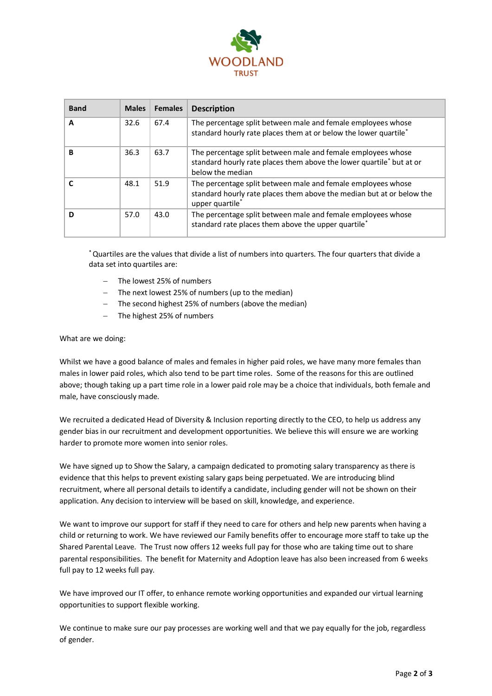

| <b>Band</b> | <b>Males</b> | <b>Females</b> | <b>Description</b>                                                                                                                                                   |
|-------------|--------------|----------------|----------------------------------------------------------------------------------------------------------------------------------------------------------------------|
| A           | 32.6         | 67.4           | The percentage split between male and female employees whose<br>standard hourly rate places them at or below the lower quartile*                                     |
| в           | 36.3         | 63.7           | The percentage split between male and female employees whose<br>standard hourly rate places them above the lower quartile* but at or<br>below the median             |
|             | 48.1         | 51.9           | The percentage split between male and female employees whose<br>standard hourly rate places them above the median but at or below the<br>upper quartile <sup>*</sup> |
| D           | 57.0         | 43.0           | The percentage split between male and female employees whose<br>standard rate places them above the upper quartile*                                                  |

\*Quartiles are the values that divide a list of numbers into quarters. The four quarters that divide a data set into quartiles are:

- The lowest 25% of numbers
- The next lowest 25% of numbers (up to the median)
- − The second highest 25% of numbers (above the median)
- The highest 25% of numbers

What are we doing:

Whilst we have a good balance of males and females in higher paid roles, we have many more females than males in lower paid roles, which also tend to be part time roles. Some of the reasons for this are outlined above; though taking up a part time role in a lower paid role may be a choice that individuals, both female and male, have consciously made.

We recruited a dedicated Head of Diversity & Inclusion reporting directly to the CEO, to help us address any gender bias in our recruitment and development opportunities. We believe this will ensure we are working harder to promote more women into senior roles.

We have signed up to Show the Salary, a campaign dedicated to promoting salary transparency as there is evidence that this helps to prevent existing salary gaps being perpetuated. We are introducing blind recruitment, where all personal details to identify a candidate, including gender will not be shown on their application. Any decision to interview will be based on skill, knowledge, and experience.

We want to improve our support for staff if they need to care for others and help new parents when having a child or returning to work. We have reviewed our Family benefits offer to encourage more staff to take up the Shared Parental Leave. The Trust now offers 12 weeks full pay for those who are taking time out to share parental responsibilities. The benefit for Maternity and Adoption leave has also been increased from 6 weeks full pay to 12 weeks full pay.

We have improved our IT offer, to enhance remote working opportunities and expanded our virtual learning opportunities to support flexible working.

We continue to make sure our pay processes are working well and that we pay equally for the job, regardless of gender.